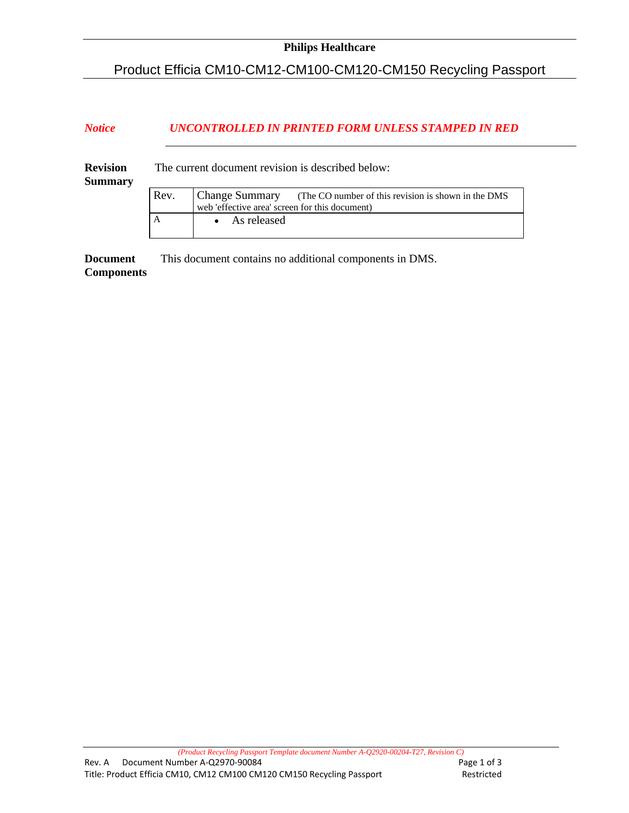## Product Efficia CM10-CM12-CM100-CM120-CM150 Recycling Passport

## *Notice UNCONTROLLED IN PRINTED FORM UNLESS STAMPED IN RED*

| <b>Revision</b><br><b>Summary</b> | The current document revision is described below: |                                                                                                                              |  |  |  |
|-----------------------------------|---------------------------------------------------|------------------------------------------------------------------------------------------------------------------------------|--|--|--|
|                                   | Rev.                                              | <b>Change Summary</b> (The CO number of this revision is shown in the DMS)<br>web 'effective area' screen for this document) |  |  |  |
|                                   | A                                                 | $\bullet$ As released                                                                                                        |  |  |  |

**Document Components**  This document contains no additional components in DMS.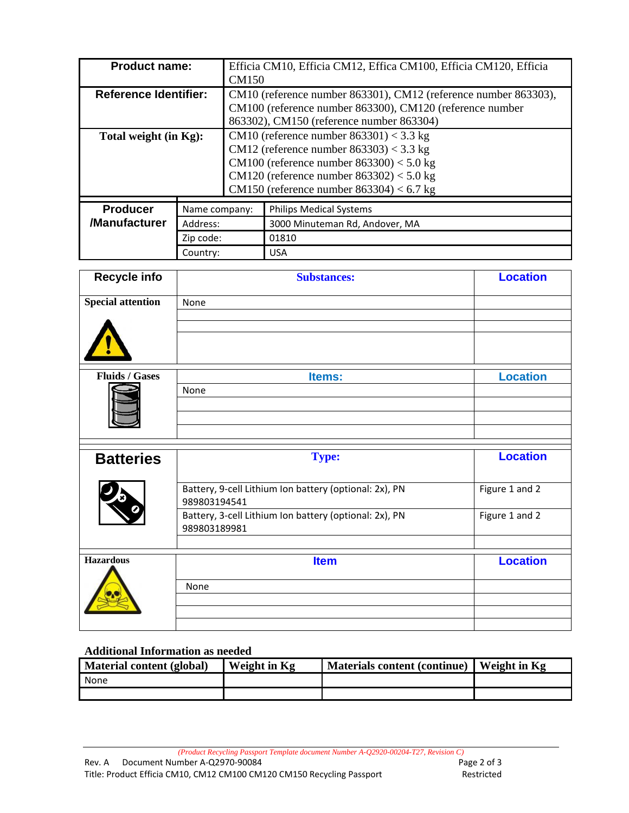| <b>Product name:</b>         |               | Efficia CM10, Efficia CM12, Effica CM100, Efficia CM120, Efficia<br><b>CM150</b>                                                                                                                                                      |                                |  |  |
|------------------------------|---------------|---------------------------------------------------------------------------------------------------------------------------------------------------------------------------------------------------------------------------------------|--------------------------------|--|--|
| <b>Reference Identifier:</b> |               | CM10 (reference number 863301), CM12 (reference number 863303),<br>CM100 (reference number 863300), CM120 (reference number<br>863302), CM150 (reference number 863304)                                                               |                                |  |  |
| Total weight (in Kg):        |               | CM10 (reference number $863301$ ) < 3.3 kg<br>CM12 (reference number $863303$ ) < 3.3 kg<br>CM100 (reference number $863300$ ) < 5.0 kg<br>CM120 (reference number $863302$ ) < 5.0 kg<br>CM150 (reference number $863304$ ) < 6.7 kg |                                |  |  |
| <b>Producer</b>              | Name company: |                                                                                                                                                                                                                                       | <b>Philips Medical Systems</b> |  |  |
| /Manufacturer                | Address:      |                                                                                                                                                                                                                                       | 3000 Minuteman Rd, Andover, MA |  |  |
|                              | Zip code:     |                                                                                                                                                                                                                                       | 01810                          |  |  |
| Country:                     |               |                                                                                                                                                                                                                                       | <b>USA</b>                     |  |  |

| <b>Recycle info</b>      | <b>Substances:</b>                                                     | <b>Location</b> |
|--------------------------|------------------------------------------------------------------------|-----------------|
| <b>Special attention</b> | None                                                                   |                 |
|                          |                                                                        |                 |
| <b>Fluids / Gases</b>    | Items:                                                                 | <b>Location</b> |
|                          | None                                                                   |                 |
|                          |                                                                        |                 |
|                          |                                                                        |                 |
| <b>Batteries</b>         | <b>Type:</b>                                                           | <b>Location</b> |
|                          | Battery, 9-cell Lithium Ion battery (optional: 2x), PN<br>989803194541 | Figure 1 and 2  |
|                          | Battery, 3-cell Lithium Ion battery (optional: 2x), PN<br>989803189981 | Figure 1 and 2  |
|                          |                                                                        |                 |
| <b>Hazardous</b>         | <b>Item</b>                                                            | <b>Location</b> |
|                          | None                                                                   |                 |
|                          |                                                                        |                 |
|                          |                                                                        |                 |

## **Additional Information as needed**

| Material content (global) | Weight in Kg | <b>Materials content (continue)</b> | Weight in Kg |
|---------------------------|--------------|-------------------------------------|--------------|
| None                      |              |                                     |              |
|                           |              |                                     |              |